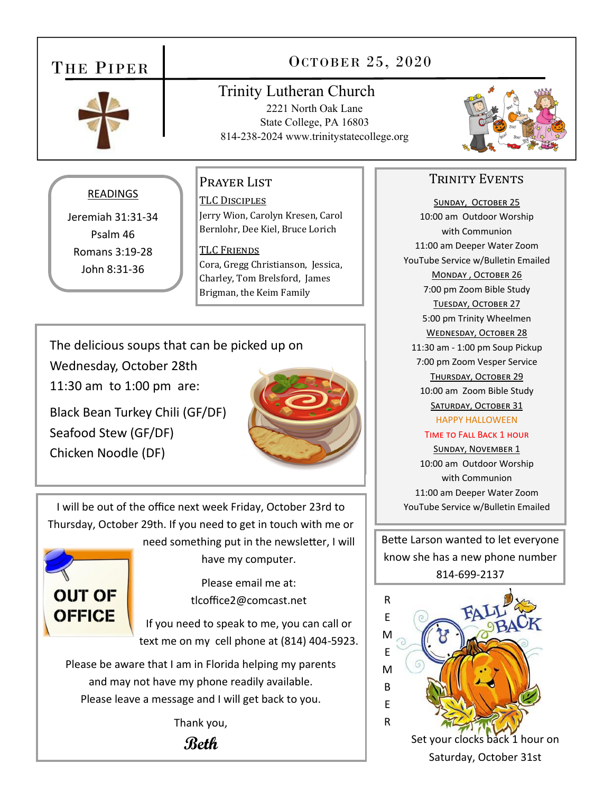## THE PIPER



## OCTOBER 25, 2020

## Trinity Lutheran Church

2221 North Oak Lane State College, PA 16803 814-238-2024 www.trinitystatecollege.org



### READINGS

Jeremiah 31:31‐34 Psalm 46 Romans 3:19‐28 John 8:31‐36

## Prayer List

TLC DISCIPLES Jerry Wion, Carolyn Kresen, Carol Bernlohr, Dee Kiel, Bruce Lorich

TLC Friends Cora, Gregg Christianson, Jessica, Charley, Tom Brelsford, James Brigman, the Keim Family

The delicious soups that can be picked up on

Wednesday, October 28th

11:30 am to 1:00 pm are:

Black Bean Turkey Chili (GF/DF) Seafood Stew (GF/DF) Chicken Noodle (DF)



I will be out of the office next week Friday, October 23rd to Thursday, October 29th. If you need to get in touch with me or need something put in the newsletter, I will



have my computer.

Please email me at: tlcoffice2@comcast.net

If you need to speak to me, you can call or text me on my cell phone at (814) 404‐5923.

Please be aware that I am in Florida helping my parents and may not have my phone readily available. Please leave a message and I will get back to you.

Thank you,

**Beth**

#### TRINITY EVENTS

SUNDAY, OCTOBER 25 10:00 am Outdoor Worship with Communion 11:00 am Deeper Water Zoom YouTube Service w/Bulletin Emailed MONDAY, OCTOBER 26 7:00 pm Zoom Bible Study TUESDAY, OCTOBER 27 5:00 pm Trinity Wheelmen WEDNESDAY, OCTOBER 28 11:30 am ‐ 1:00 pm Soup Pickup 7:00 pm Zoom Vesper Service THURSDAY, OCTOBER 29 10:00 am Zoom Bible Study SATURDAY, OCTOBER 31 HAPPY HALLOWEEN

#### TIME TO FALL BACK 1 HOUR

SUNDAY, NOVEMBER 1 10:00 am Outdoor Worship with Communion 11:00 am Deeper Water Zoom YouTube Service w/Bulletin Emailed

Bette Larson wanted to let everyone know she has a new phone number 814‐699‐2137